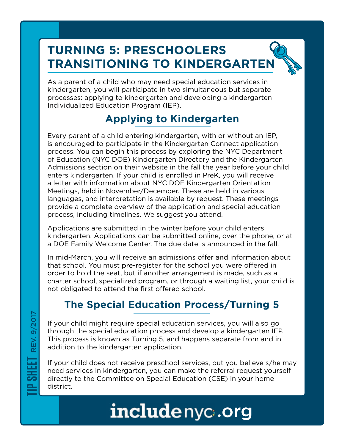# **TURNING 5: PRESCHOOLERS TRANSITIONING TO KINDERGARTEN**

As a parent of a child who may need special education services in kindergarten, you will participate in two simultaneous but separate processes: applying to kindergarten and developing a kindergarten Individualized Education Program (IEP).

## **Applying to Kindergarten**

Every parent of a child entering kindergarten, with or without an IEP, is encouraged to participate in the Kindergarten Connect application process. You can begin this process by exploring the NYC Department of Education (NYC DOE) Kindergarten Directory and the Kindergarten Admissions section on their website in the fall the year before your child enters kindergarten. If your child is enrolled in PreK, you will receive a letter with information about NYC DOE Kindergarten Orientation Meetings, held in November/December. These are held in various languages, and interpretation is available by request. These meetings provide a complete overview of the application and special education process, including timelines. We suggest you attend.

Applications are submitted in the winter before your child enters kindergarten. Applications can be submitted online, over the phone, or at a DOE Family Welcome Center. The due date is announced in the fall.

In mid-March, you will receive an admissions offer and information about that school. You must pre-register for the school you were offered in order to hold the seat, but if another arrangement is made, such as a charter school, specialized program, or through a waiting list, your child is not obligated to attend the first offered school.

### **The Special Education Process/Turning 5**

If your child might require special education services, you will also go through the special education process and develop a kindergarten IEP. This process is known as Turning 5, and happens separate from and in addition to the kindergarten application.

If your child does not receive preschool services, but you believe s/he may need services in kindergarten, you can make the referral request yourself directly to the Committee on Special Education (CSE) in your home district.

# includenyc.org